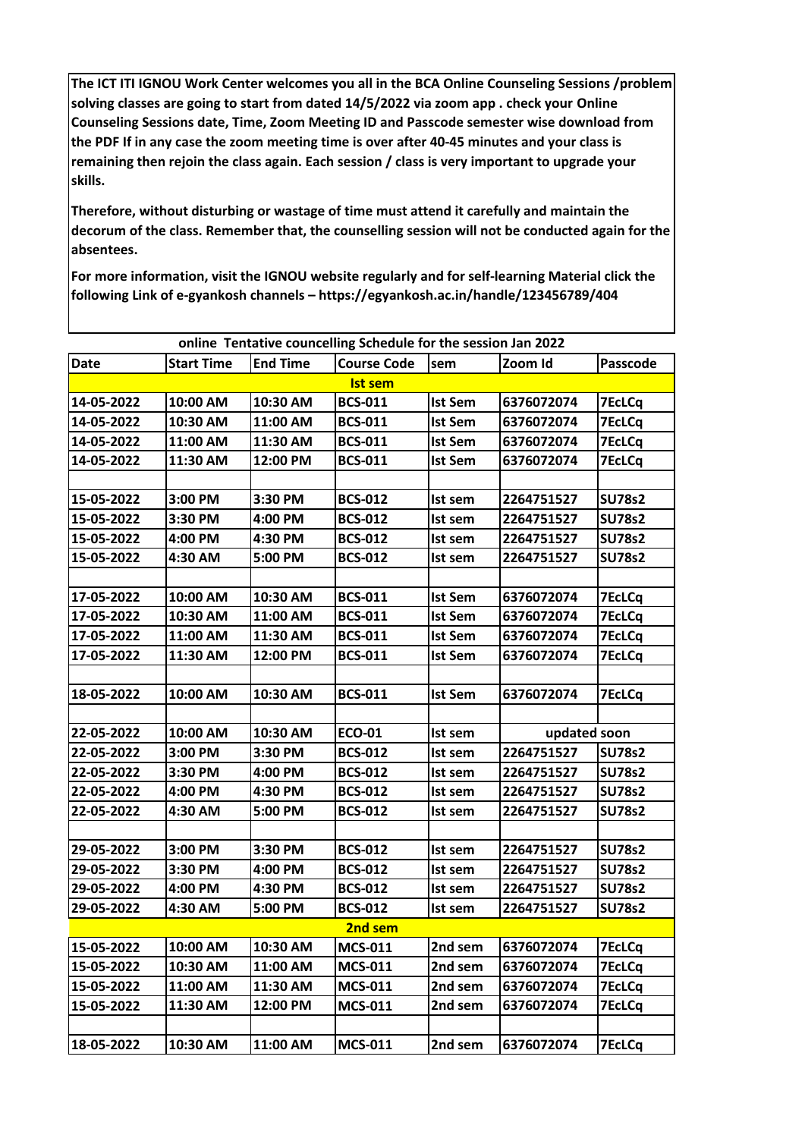The ICT ITI IGNOU Work Center welcomes you all in the BCA Online Counseling Sessions /problem solving classes are going to start from dated 14/5/2022 via zoom app. check your Online Counseling Sessions date, Time, Zoom Meeting ID and Passcode semester wise download from the PDF If in any case the zoom meeting time is over after 40-45 minutes and your class is remaining then rejoin the class again. Each session / class is very important to upgrade your skills.

Therefore, without disturbing or wastage of time must attend it carefully and maintain the decorum of the class. Remember that, the counselling session will not be conducted again for the absentees.

For more information, visit the IGNOU website regularly and for self-learning Material click the following Link of e-gyankosh channels - https://egyankosh.ac.in/handle/123456789/404

| online Tentative councelling Schedule for the session Jan 2022 |                   |                 |                    |                |              |               |  |  |
|----------------------------------------------------------------|-------------------|-----------------|--------------------|----------------|--------------|---------------|--|--|
| <b>Date</b>                                                    | <b>Start Time</b> | <b>End Time</b> | <b>Course Code</b> | sem            | Zoom Id      | Passcode      |  |  |
| <b>Ist sem</b>                                                 |                   |                 |                    |                |              |               |  |  |
| 14-05-2022                                                     | 10:00 AM          | 10:30 AM        | <b>BCS-011</b>     | <b>Ist Sem</b> | 6376072074   | <b>7EcLCq</b> |  |  |
| 14-05-2022                                                     | 10:30 AM          | 11:00 AM        | <b>BCS-011</b>     | <b>Ist Sem</b> | 6376072074   | <b>7EcLCq</b> |  |  |
| 14-05-2022                                                     | 11:00 AM          | 11:30 AM        | <b>BCS-011</b>     | <b>Ist Sem</b> | 6376072074   | <b>7EcLCq</b> |  |  |
| 14-05-2022                                                     | 11:30 AM          | 12:00 PM        | <b>BCS-011</b>     | <b>Ist Sem</b> | 6376072074   | <b>7EcLCq</b> |  |  |
|                                                                |                   |                 |                    |                |              |               |  |  |
| 15-05-2022                                                     | 3:00 PM           | 3:30 PM         | <b>BCS-012</b>     | Ist sem        | 2264751527   | <b>SU78s2</b> |  |  |
| 15-05-2022                                                     | 3:30 PM           | 4:00 PM         | <b>BCS-012</b>     | Ist sem        | 2264751527   | <b>SU78s2</b> |  |  |
| 15-05-2022                                                     | 4:00 PM           | 4:30 PM         | <b>BCS-012</b>     | Ist sem        | 2264751527   | <b>SU78s2</b> |  |  |
| 15-05-2022                                                     | 4:30 AM           | 5:00 PM         | <b>BCS-012</b>     | Ist sem        | 2264751527   | <b>SU78s2</b> |  |  |
|                                                                |                   |                 |                    |                |              |               |  |  |
| 17-05-2022                                                     | 10:00 AM          | 10:30 AM        | <b>BCS-011</b>     | <b>Ist Sem</b> | 6376072074   | <b>7EcLCq</b> |  |  |
| 17-05-2022                                                     | 10:30 AM          | 11:00 AM        | <b>BCS-011</b>     | <b>Ist Sem</b> | 6376072074   | <b>7EcLCq</b> |  |  |
| 17-05-2022                                                     | 11:00 AM          | 11:30 AM        | <b>BCS-011</b>     | <b>Ist Sem</b> | 6376072074   | <b>7EcLCq</b> |  |  |
| 17-05-2022                                                     | 11:30 AM          | 12:00 PM        | <b>BCS-011</b>     | <b>Ist Sem</b> | 6376072074   | <b>7EcLCq</b> |  |  |
|                                                                |                   |                 |                    |                |              |               |  |  |
| 18-05-2022                                                     | 10:00 AM          | 10:30 AM        | <b>BCS-011</b>     | <b>Ist Sem</b> | 6376072074   | <b>7EcLCq</b> |  |  |
|                                                                |                   |                 |                    |                |              |               |  |  |
| 22-05-2022                                                     | 10:00 AM          | 10:30 AM        | <b>ECO-01</b>      | Ist sem        | updated soon |               |  |  |
| 22-05-2022                                                     | 3:00 PM           | 3:30 PM         | <b>BCS-012</b>     | Ist sem        | 2264751527   | <b>SU78s2</b> |  |  |
| 22-05-2022                                                     | 3:30 PM           | 4:00 PM         | <b>BCS-012</b>     | Ist sem        | 2264751527   | <b>SU78s2</b> |  |  |
| 22-05-2022                                                     | 4:00 PM           | 4:30 PM         | <b>BCS-012</b>     | Ist sem        | 2264751527   | <b>SU78s2</b> |  |  |
| 22-05-2022                                                     | 4:30 AM           | 5:00 PM         | <b>BCS-012</b>     | Ist sem        | 2264751527   | <b>SU78s2</b> |  |  |
|                                                                |                   |                 |                    |                |              |               |  |  |
| 29-05-2022                                                     | 3:00 PM           | 3:30 PM         | <b>BCS-012</b>     | Ist sem        | 2264751527   | <b>SU78s2</b> |  |  |
| 29-05-2022                                                     | 3:30 PM           | 4:00 PM         | <b>BCS-012</b>     | Ist sem        | 2264751527   | <b>SU78s2</b> |  |  |
| 29-05-2022                                                     | 4:00 PM           | 4:30 PM         | <b>BCS-012</b>     | Ist sem        | 2264751527   | <b>SU78s2</b> |  |  |
| 29-05-2022                                                     | 4:30 AM           | 5:00 PM         | <b>BCS-012</b>     | Ist sem        | 2264751527   | <b>SU78s2</b> |  |  |
| 2nd sem                                                        |                   |                 |                    |                |              |               |  |  |
| 15-05-2022                                                     | 10:00 AM          | 10:30 AM        | <b>MCS-011</b>     | 2nd sem        | 6376072074   | <b>7EcLCq</b> |  |  |
| 15-05-2022                                                     | 10:30 AM          | 11:00 AM        | <b>MCS-011</b>     | 2nd sem        | 6376072074   | <b>7EcLCq</b> |  |  |
| 15-05-2022                                                     | 11:00 AM          | 11:30 AM        | <b>MCS-011</b>     | 2nd sem        | 6376072074   | <b>7EcLCq</b> |  |  |
| 15-05-2022                                                     | 11:30 AM          | 12:00 PM        | <b>MCS-011</b>     | 2nd sem        | 6376072074   | <b>7EcLCq</b> |  |  |
|                                                                |                   |                 |                    |                |              |               |  |  |
| 18-05-2022                                                     | 10:30 AM          | 11:00 AM        | <b>MCS-011</b>     | 2nd sem        | 6376072074   | <b>7EcLCq</b> |  |  |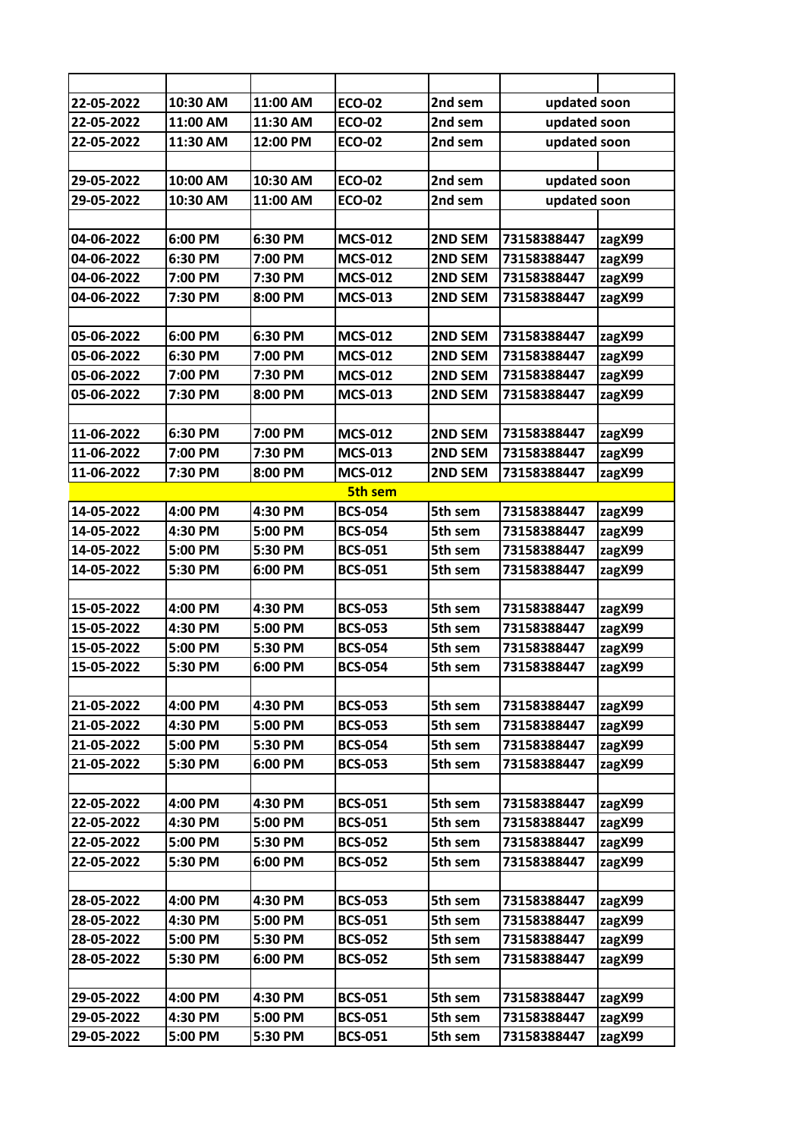| 22-05-2022 | 10:30 AM | 11:00 AM | <b>ECO-02</b>  | 2nd sem | updated soon |        |
|------------|----------|----------|----------------|---------|--------------|--------|
| 22-05-2022 | 11:00 AM | 11:30 AM | <b>ECO-02</b>  | 2nd sem | updated soon |        |
| 22-05-2022 | 11:30 AM | 12:00 PM | <b>ECO-02</b>  | 2nd sem | updated soon |        |
|            |          |          |                |         |              |        |
| 29-05-2022 | 10:00 AM | 10:30 AM | <b>ECO-02</b>  | 2nd sem | updated soon |        |
| 29-05-2022 | 10:30 AM | 11:00 AM | <b>ECO-02</b>  | 2nd sem | updated soon |        |
|            |          |          |                |         |              |        |
| 04-06-2022 | 6:00 PM  | 6:30 PM  | <b>MCS-012</b> | 2ND SEM | 73158388447  | zagX99 |
| 04-06-2022 | 6:30 PM  | 7:00 PM  | <b>MCS-012</b> | 2ND SEM | 73158388447  | zagX99 |
| 04-06-2022 | 7:00 PM  | 7:30 PM  | <b>MCS-012</b> | 2ND SEM | 73158388447  | zagX99 |
| 04-06-2022 | 7:30 PM  | 8:00 PM  | <b>MCS-013</b> | 2ND SEM | 73158388447  | zagX99 |
|            |          |          |                |         |              |        |
| 05-06-2022 | 6:00 PM  | 6:30 PM  | <b>MCS-012</b> | 2ND SEM | 73158388447  | zagX99 |
| 05-06-2022 | 6:30 PM  | 7:00 PM  | <b>MCS-012</b> | 2ND SEM | 73158388447  | zagX99 |
| 05-06-2022 | 7:00 PM  | 7:30 PM  | <b>MCS-012</b> | 2ND SEM | 73158388447  | zagX99 |
| 05-06-2022 | 7:30 PM  | 8:00 PM  | <b>MCS-013</b> | 2ND SEM | 73158388447  | zagX99 |
|            |          |          |                |         |              |        |
| 11-06-2022 | 6:30 PM  | 7:00 PM  | <b>MCS-012</b> | 2ND SEM | 73158388447  | zagX99 |
| 11-06-2022 | 7:00 PM  | 7:30 PM  | <b>MCS-013</b> | 2ND SEM | 73158388447  | zagX99 |
| 11-06-2022 | 7:30 PM  | 8:00 PM  | <b>MCS-012</b> | 2ND SEM | 73158388447  | zagX99 |
|            |          |          | <b>5th sem</b> |         |              |        |
| 14-05-2022 | 4:00 PM  | 4:30 PM  | <b>BCS-054</b> | 5th sem | 73158388447  | zagX99 |
| 14-05-2022 | 4:30 PM  | 5:00 PM  | <b>BCS-054</b> | 5th sem | 73158388447  | zagX99 |
| 14-05-2022 | 5:00 PM  | 5:30 PM  | <b>BCS-051</b> | 5th sem | 73158388447  | zagX99 |
| 14-05-2022 | 5:30 PM  | 6:00 PM  | <b>BCS-051</b> | 5th sem | 73158388447  | zagX99 |
|            |          |          |                |         |              |        |
| 15-05-2022 | 4:00 PM  | 4:30 PM  | <b>BCS-053</b> | 5th sem | 73158388447  | zagX99 |
| 15-05-2022 | 4:30 PM  | 5:00 PM  | <b>BCS-053</b> | 5th sem | 73158388447  | zagX99 |
| 15-05-2022 | 5:00 PM  | 5:30 PM  | <b>BCS-054</b> | 5th sem | 73158388447  | zagX99 |
| 15-05-2022 | 5:30 PM  | 6:00 PM  | <b>BCS-054</b> | 5th sem | 73158388447  | zagX99 |
|            |          |          |                |         |              |        |
| 21-05-2022 | 4:00 PM  | 4:30 PM  | <b>BCS-053</b> | 5th sem | 73158388447  | zagX99 |
| 21-05-2022 | 4:30 PM  | 5:00 PM  | <b>BCS-053</b> | 5th sem | 73158388447  | zagX99 |
| 21-05-2022 | 5:00 PM  | 5:30 PM  | <b>BCS-054</b> | 5th sem | 73158388447  | zagX99 |
| 21-05-2022 | 5:30 PM  | 6:00 PM  | <b>BCS-053</b> | 5th sem | 73158388447  | zagX99 |
|            |          |          |                |         |              |        |
| 22-05-2022 | 4:00 PM  | 4:30 PM  | <b>BCS-051</b> | 5th sem | 73158388447  | zagX99 |
| 22-05-2022 | 4:30 PM  | 5:00 PM  | <b>BCS-051</b> | 5th sem | 73158388447  | zagX99 |
| 22-05-2022 | 5:00 PM  | 5:30 PM  | <b>BCS-052</b> | 5th sem | 73158388447  | zagX99 |
| 22-05-2022 | 5:30 PM  | 6:00 PM  | <b>BCS-052</b> | 5th sem | 73158388447  | zagX99 |
|            |          |          |                |         |              |        |
| 28-05-2022 | 4:00 PM  | 4:30 PM  | <b>BCS-053</b> | 5th sem | 73158388447  | zagX99 |
| 28-05-2022 | 4:30 PM  | 5:00 PM  | <b>BCS-051</b> | 5th sem | 73158388447  | zagX99 |
| 28-05-2022 | 5:00 PM  | 5:30 PM  | <b>BCS-052</b> | 5th sem | 73158388447  | zagX99 |
| 28-05-2022 | 5:30 PM  | 6:00 PM  | <b>BCS-052</b> | 5th sem | 73158388447  | zagX99 |
|            |          |          |                |         |              |        |
| 29-05-2022 | 4:00 PM  | 4:30 PM  | <b>BCS-051</b> | 5th sem | 73158388447  | zagX99 |
| 29-05-2022 | 4:30 PM  | 5:00 PM  | <b>BCS-051</b> | 5th sem | 73158388447  | zagX99 |
| 29-05-2022 | 5:00 PM  | 5:30 PM  | <b>BCS-051</b> | 5th sem | 73158388447  | zagX99 |